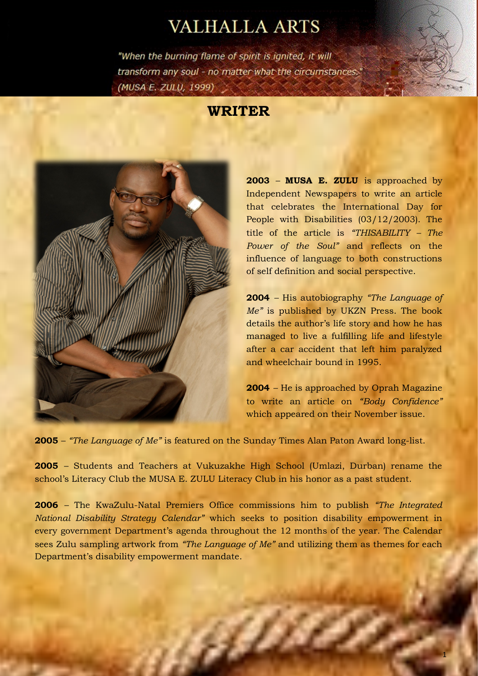## **VALHALLA ARTS**

"When the burning flame of spirit is ignited, it will transform any soul - no matter what the circumstances." (MUSA E. ZULŲ, 1999)

## **WRITER**



**2003** – **MUSA E. ZULU** is approached by Independent Newspapers to write an article that celebrates the International Day for People with Disabilities (03/12/2003). The title of the article is *"THISABILITY – The Power of the Soul"* and reflects on the influence of language to both constructions of self definition and social perspective.

**2004** – His autobiography *"The Language of Me"* is published by UKZN Press. The book details the author's life story and how he has managed to live a fulfilling life and lifestyle after a car accident that left him paralyzed and wheelchair bound in 1995.

**2004** – He is approached by Oprah Magazine to write an article on *"Body Confidence"* which appeared on their November issue.

**2005** – *"The Language of Me"* is featured on the Sunday Times Alan Paton Award long-list.

**2005** – Students and Teachers at Vukuzakhe High School (Umlazi, Durban) rename the school's Literacy Club the MUSA E. ZULU Literacy Club in his honor as a past student.

**2006** – The KwaZulu-Natal Premiers Office commissions him to publish *"The Integrated National Disability Strategy Calendar"* which seeks to position disability empowerment in every government Department's agenda throughout the 12 months of the year. The Calendar sees Zulu sampling artwork from *"The Language of Me"* and utilizing them as themes for each Department's disability empowerment mandate.

e Chi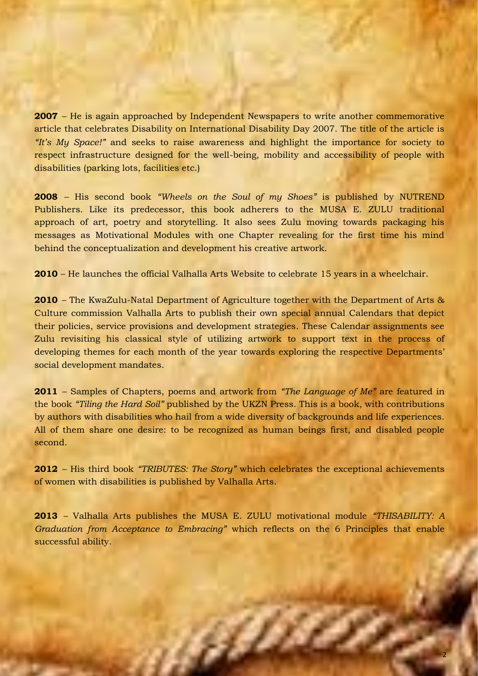**2007** – He is again approached by Independent Newspapers to write another commemorative article that celebrates Disability on International Disability Day 2007. The title of the article is *"It's My Space!"* and seeks to raise awareness and highlight the importance for society to respect infrastructure designed for the well-being, mobility and accessibility of people with disabilities (parking lots, facilities etc.)

**2008** – His second book *"Wheels on the Soul of my Shoes"* is published by NUTREND Publishers. Like its predecessor, this book adherers to the MUSA E. ZULU traditional approach of art, poetry and storytelling. It also sees Zulu moving towards packaging his messages as Motivational Modules with one Chapter revealing for the first time his mind behind the conceptualization and development his creative artwork.

**2010** – He launches the official Valhalla Arts Website to celebrate 15 years in a wheelchair.

**2010** – The KwaZulu-Natal Department of Agriculture together with the Department of Arts & Culture commission Valhalla Arts to publish their own special annual Calendars that depict their policies, service provisions and development strategies. These Calendar assignments see Zulu revisiting his classical style of utilizing artwork to support text in the process of developing themes for each month of the year towards exploring the respective Departments' social development mandates.

**2011** – Samples of Chapters, poems and artwork from *"The Language of Me"* are featured in the book *"Tiling the Hard Soil"* published by the UKZN Press. This is a book, with contributions by authors with disabilities who hail from a wide diversity of backgrounds and life experiences. All of them share one desire: to be recognized as human beings first, and disabled people second.

**2012** – His third book *"TRIBUTES: The Story"* which celebrates the exceptional achievements of women with disabilities is published by Valhalla Arts.

**2013** – Valhalla Arts publishes the MUSA E. ZULU motivational module *"THISABILITY: A Graduation from Acceptance to Embracing"* which reflects on the 6 Principles that enable successful ability.

a Birth S